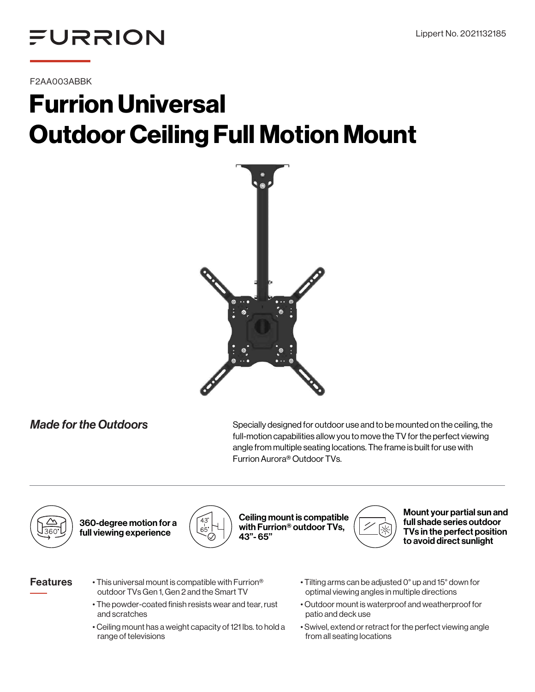

F2AA003ABBK

# Furrion Universal Outdoor Ceiling Full Motion Mount



*Made for the Outdoors* Specially designed for outdoor use and to be mounted on the ceiling, the full-motion capabilities allow you to move the TV for the perfect viewing angle from multiple seating locations. The frame is built for use with Furrion Aurora® Outdoor TVs.



360-degree motion for a full viewing experience



Ceiling mount is compatible with Furrion® outdoor TVs, 43"- 65"



Mount your partial sun and full shade series outdoor TVs in the perfect position to avoid direct sunlight

# Features

- This universal mount is compatible with Furrion® outdoor TVs Gen 1, Gen 2 and the Smart TV
- The powder-coated finish resists wear and tear, rust and scratches
- Ceiling mount has a weight capacity of 121 lbs. to hold a range of televisions
- Tilting arms can be adjusted 0° up and 15° down for optimal viewing angles in multiple directions
- Outdoor mount is waterproof and weatherproof for patio and deck use
- Swivel, extend or retract for the perfect viewing angle from all seating locations